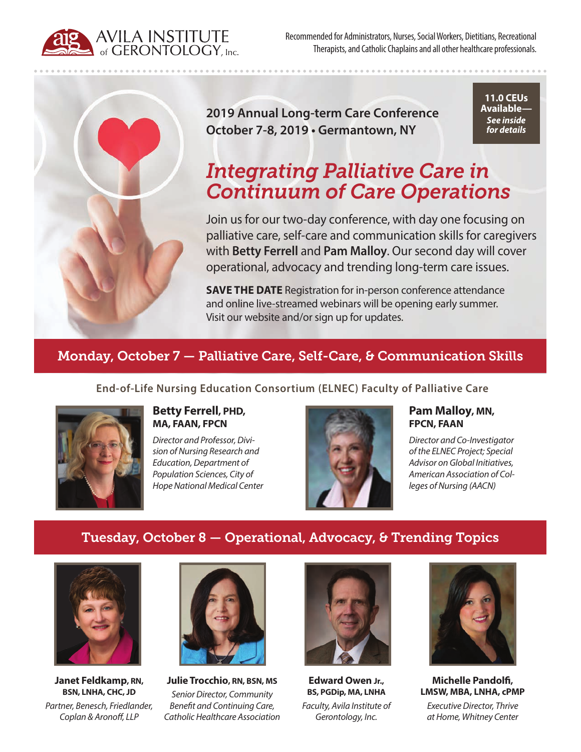AVILA INSTITUTE<br> **A** of GERONTOLOGY, Inc.

Recommended for Administrators, Nurses, Social Workers, Dietitians, Recreational Therapists, and Catholic Chaplains and all other healthcare professionals.



**2019 Annual Long-term Care Conference October 7-8, 2019 • Germantown, NY**

**11.0 CEUs Available—** *See inside for details*

# *Integrating Palliative Care in Continuum of Care Operations*

Join us for our two-day conference, with day one focusing on palliative care, self-care and communication skills for caregivers with **Betty Ferrell** and **Pam Malloy**. Our second day will cover operational, advocacy and trending long-term care issues.

**SAVE THE DATE** Registration for in-person conference attendance and online live-streamed webinars will be opening early summer. Visit our website and/or sign up for updates.

# Monday, October 7 — Palliative Care, Self-Care, & Communication Skills

**End-of-Life Nursing Education Consortium (ELNEC) Faculty of Palliative Care**



**Betty Ferrell, PHD, MA, FAAN, FPCN**

*Director and Professor, Division of Nursing Research and Education, Department of Population Sciences, City of Hope National Medical Center*



#### **Pam Malloy, MN, FPCN, FAAN**

*Director and Co-Investigator of the ELNEC Project; Special Advisor on Global Initiatives, American Association of Colleges of Nursing (AACN)*

## Tuesday, October 8 — Operational, Advocacy, & Trending Topics



**Janet Feldkamp, RN, BSN, LNHA, CHC, JD** *Partner, Benesch, Friedlander, Coplan & Aronoff, LLP*



**Julie Trocchio, RN, BSN, MS** *Senior Director, Community Benefit and Continuing Care, Catholic Healthcare Association*



**Edward Owen Jr., BS, PGDip, MA, LNHA** *Faculty, Avila Institute of Gerontology, Inc.*



**Michelle Pandolfi, LMSW, MBA, LNHA, cPMP**

*Executive Director, Thrive at Home, Whitney Center*